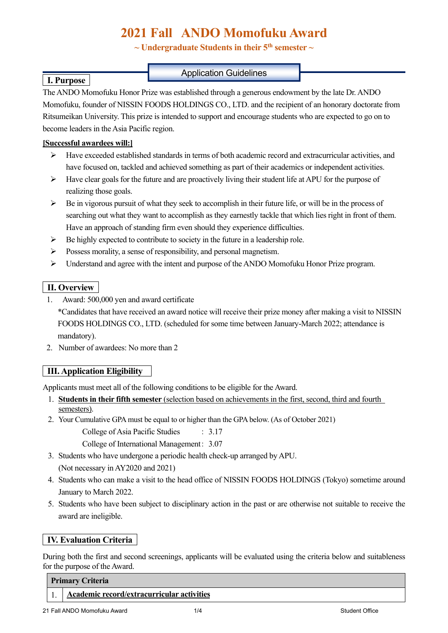# **2021 Fall ANDO Momofuku Award**

 $\sim$  Undergraduate Students in their 5<sup>th</sup> semester  $\sim$ 

### Application Guidelines

The ANDO Momofuku Honor Prize was established through a generous endowment by the late Dr. ANDO Momofuku, founder of NISSIN FOODS HOLDINGS CO., LTD. and the recipient of an honorary doctorate from Ritsumeikan University. This prize is intended to support and encourage students who are expected to go on to become leaders in the Asia Pacific region.

#### **[Successful awardees will:]**

 **I. Purpose** 

- $\triangleright$  Have exceeded established standards in terms of both academic record and extracurricular activities, and have focused on, tackled and achieved something as part of their academics or independent activities.
- $\triangleright$  Have clear goals for the future and are proactively living their student life at APU for the purpose of realizing those goals.
- $\triangleright$  Be in vigorous pursuit of what they seek to accomplish in their future life, or will be in the process of searching out what they want to accomplish as they earnestly tackle that which lies right in front of them. Have an approach of standing firm even should they experience difficulties.
- $\triangleright$  Be highly expected to contribute to society in the future in a leadership role.
- $\triangleright$  Possess morality, a sense of responsibility, and personal magnetism.
- $\triangleright$  Understand and agree with the intent and purpose of the ANDO Momofuku Honor Prize program.

### **II. Overview**

1. Award: 500,000 yen and award certificate

\*Candidates that have received an award notice will receive their prize money after making a visit to NISSIN FOODS HOLDINGS CO., LTD. (scheduled for some time between January-March 2022; attendance is mandatory).

2. Number of awardees: No more than 2

# **III. Application Eligibility**

Applicants must meet all of the following conditions to be eligible for the Award.

- 1. **Students in their fifth semester** (selection based on achievements in the first, second, third and fourth semesters).
- 2. Your Cumulative GPA must be equal to or higher than the GPA below. (As of October 2021)

College of Asia Pacific Studies : 3.17

College of International Management: 3.07

3. Students who have undergone a periodic health check-up arranged by APU.

(Not necessary in AY2020 and 2021)

- 4. Students who can make a visit to the head office of NISSIN FOODS HOLDINGS (Tokyo) sometime around January to March 2022.
- 5. Students who have been subject to disciplinary action in the past or are otherwise not suitable to receive the award are ineligible.

### **IV. Evaluation Criteria**

During both the first and second screenings, applicants will be evaluated using the criteria below and suitableness for the purpose of the Award.

#### **Primary Criteria**

1. **Academic record/extracurricular activities**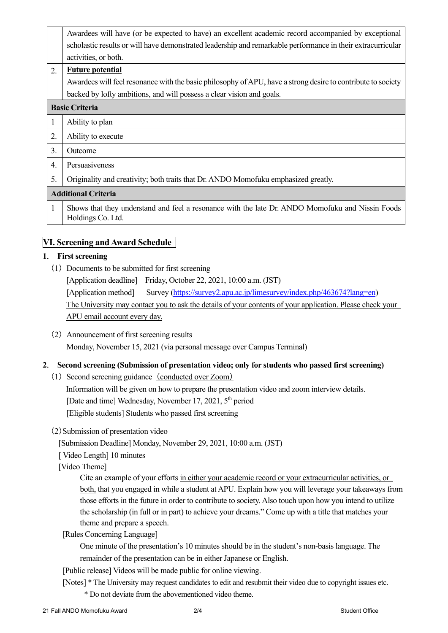|                            | Awardees will have (or be expected to have) an excellent academic record accompanied by exceptional                   |  |
|----------------------------|-----------------------------------------------------------------------------------------------------------------------|--|
|                            | scholastic results or will have demonstrated leadership and remarkable performance in their extracurricular           |  |
|                            | activities, or both.                                                                                                  |  |
| 2.                         | <b>Future potential</b>                                                                                               |  |
|                            | Awardees will feel resonance with the basic philosophy of APU, have a strong desire to contribute to society          |  |
|                            | backed by lofty ambitions, and will possess a clear vision and goals.                                                 |  |
| <b>Basic Criteria</b>      |                                                                                                                       |  |
| 1                          | Ability to plan                                                                                                       |  |
| 2.                         | Ability to execute                                                                                                    |  |
| 3.                         | Outcome                                                                                                               |  |
| 4.                         | Persuasiveness                                                                                                        |  |
| 5.                         | Originality and creativity; both traits that Dr. ANDO Momofuku emphasized greatly.                                    |  |
| <b>Additional Criteria</b> |                                                                                                                       |  |
| 1                          | Shows that they understand and feel a resonance with the late Dr. ANDO Momofuku and Nissin Foods<br>Holdings Co. Ltd. |  |

### **VI. Screening and Award Schedule**

#### **1**. **First screening**

- (1) Documents to be submitted for first screening [Application deadline] Friday, October 22, 2021, 10:00 a.m. (JST) [Application method] Survey (https://survey2.apu.ac.jp/limesurvey/index.php/463674?lang=en) The University may contact you to ask the details of your contents of your application. Please check your APU email account every day.
- (2) Announcement of first screening results Monday, November 15, 2021 (via personal message over Campus Terminal)

#### **2**. **Second screening (Submission of presentation video; only for students who passed first screening)**

(1) Second screening guidance (conducted over Zoom)

Information will be given on how to prepare the presentation video and zoom interview details. [Date and time] Wednesday, November 17, 2021, 5<sup>th</sup> period [Eligible students] Students who passed first screening

(2)Submission of presentation video

[Submission Deadline] Monday, November 29, 2021, 10:00 a.m. (JST)

[ Video Length] 10 minutes

[Video Theme]

Cite an example of your efforts in either your academic record or your extracurricular activities, or both, that you engaged in while a student at APU. Explain how you will leverage your takeaways from those efforts in the future in order to contribute to society. Also touch upon how you intend to utilize the scholarship (in full or in part) to achieve your dreams." Come up with a title that matches your theme and prepare a speech.

[Rules Concerning Language]

One minute of the presentation's 10 minutes should be in the student's non-basis language. The remainder of the presentation can be in either Japanese or English.

[Public release] Videos will be made public for online viewing.

 [Notes] \* The University may request candidates to edit and resubmit their video due to copyright issues etc. \* Do not deviate from the abovementioned video theme.